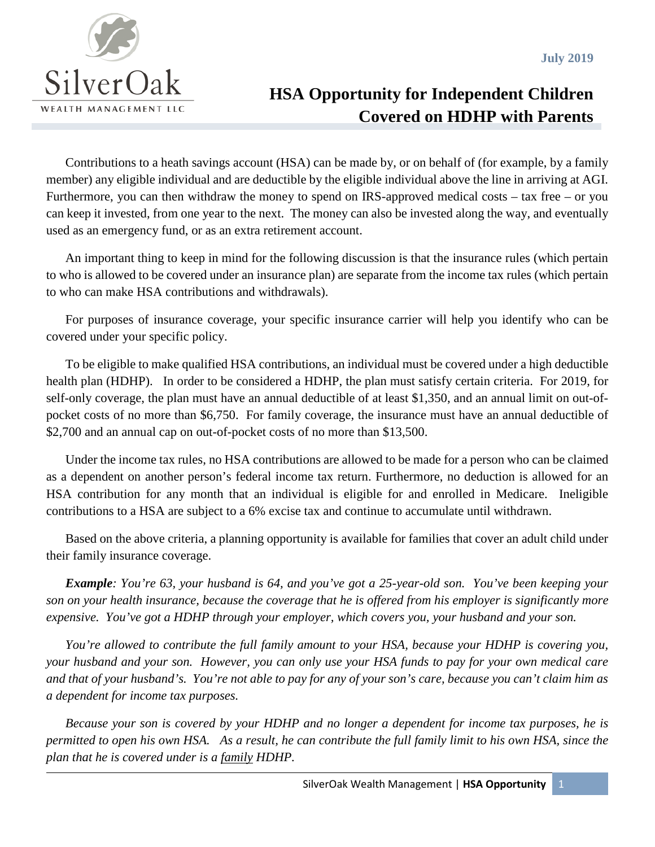

## **HSA Opportunity for Independent Children Covered on HDHP with Parents**

Contributions to a heath savings account (HSA) can be made by, or on behalf of (for example, by a family member) any eligible individual and are deductible by the eligible individual above the line in arriving at AGI. Furthermore, you can then withdraw the money to spend on IRS-approved medical costs – tax free – or you can keep it invested, from one year to the next. The money can also be invested along the way, and eventually used as an emergency fund, or as an extra retirement account.

An important thing to keep in mind for the following discussion is that the insurance rules (which pertain to who is allowed to be covered under an insurance plan) are separate from the income tax rules (which pertain to who can make HSA contributions and withdrawals).

For purposes of insurance coverage, your specific insurance carrier will help you identify who can be covered under your specific policy.

To be eligible to make qualified HSA contributions, an individual must be covered under a high deductible health plan (HDHP). In order to be considered a HDHP, the plan must satisfy certain criteria. For 2019, for self-only coverage, the plan must have an annual deductible of at least \$1,350, and an annual limit on out-ofpocket costs of no more than \$6,750. For family coverage, the insurance must have an annual deductible of \$2,700 and an annual cap on out-of-pocket costs of no more than \$13,500.

Under the income tax rules, no HSA contributions are allowed to be made for a person who can be claimed as a dependent on another person's federal income tax return. Furthermore, no deduction is allowed for an HSA contribution for any month that an individual is eligible for and enrolled in Medicare. Ineligible contributions to a HSA are subject to a 6% excise tax and continue to accumulate until withdrawn.

Based on the above criteria, a planning opportunity is available for families that cover an adult child under their family insurance coverage.

*Example: You're 63, your husband is 64, and you've got a 25-year-old son. You've been keeping your son on your health insurance, because the coverage that he is offered from his employer is significantly more expensive. You've got a HDHP through your employer, which covers you, your husband and your son.*

*You're allowed to contribute the full family amount to your HSA, because your HDHP is covering you, your husband and your son. However, you can only use your HSA funds to pay for your own medical care and that of your husband's. You're not able to pay for any of your son's care, because you can't claim him as a dependent for income tax purposes.*

*Because your son is covered by your HDHP and no longer a dependent for income tax purposes, he is permitted to open his own HSA. As a result, he can contribute the full family limit to his own HSA, since the plan that he is covered under is a family HDHP.*